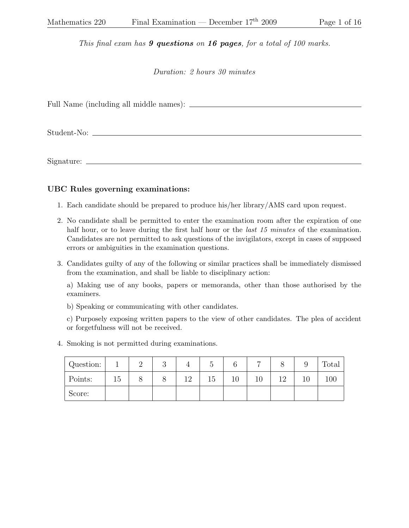This final exam has **9 questions** on **16 pages**, for a total of 100 marks.

Duration: 2 hours 30 minutes

Full Name (including all middle names):

Student-No:

Signature:

## UBC Rules governing examinations:

- 1. Each candidate should be prepared to produce his/her library/AMS card upon request.
- 2. No candidate shall be permitted to enter the examination room after the expiration of one half hour, or to leave during the first half hour or the *last 15 minutes* of the examination. Candidates are not permitted to ask questions of the invigilators, except in cases of supposed errors or ambiguities in the examination questions.
- 3. Candidates guilty of any of the following or similar practices shall be immediately dismissed from the examination, and shall be liable to disciplinary action:

a) Making use of any books, papers or memoranda, other than those authorised by the examiners.

b) Speaking or communicating with other candidates.

c) Purposely exposing written papers to the view of other candidates. The plea of accident or forgetfulness will not be received.

4. Smoking is not permitted during examinations.

| Question: |    | ∸ | ◡ |    | 'n<br>U |        |    | U   | Total |
|-----------|----|---|---|----|---------|--------|----|-----|-------|
| Points:   | 15 |   |   | ∣ີ | 15      | $10\,$ | 10 | 1 ດ | 100   |
| Score:    |    |   |   |    |         |        |    |     |       |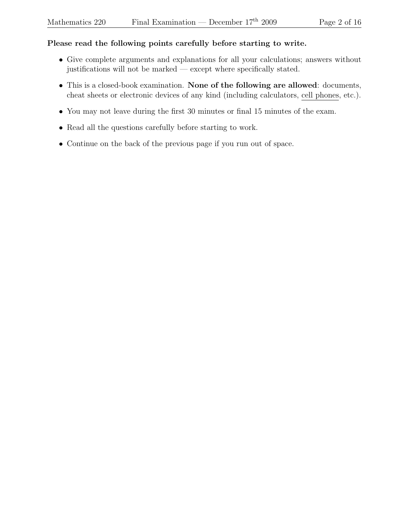## Please read the following points carefully before starting to write.

- Give complete arguments and explanations for all your calculations; answers without justifications will not be marked — except where specifically stated.
- This is a closed-book examination. None of the following are allowed: documents, cheat sheets or electronic devices of any kind (including calculators, cell phones, etc.).
- You may not leave during the first 30 minutes or final 15 minutes of the exam.
- Read all the questions carefully before starting to work.
- Continue on the back of the previous page if you run out of space.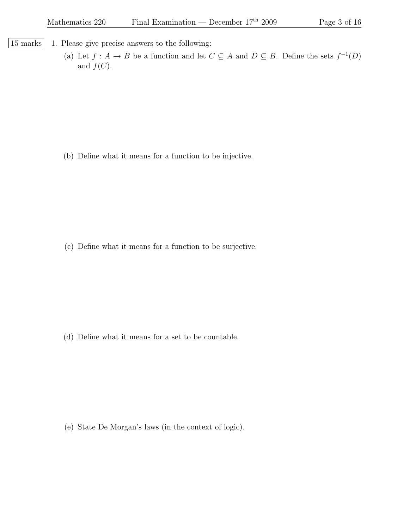- |15 marks| 1. Please give precise answers to the following:
	- (a) Let  $f : A \to B$  be a function and let  $C \subseteq A$  and  $D \subseteq B$ . Define the sets  $f^{-1}(D)$ and  $f(C)$ .

(b) Define what it means for a function to be injective.

(c) Define what it means for a function to be surjective.

(d) Define what it means for a set to be countable.

(e) State De Morgan's laws (in the context of logic).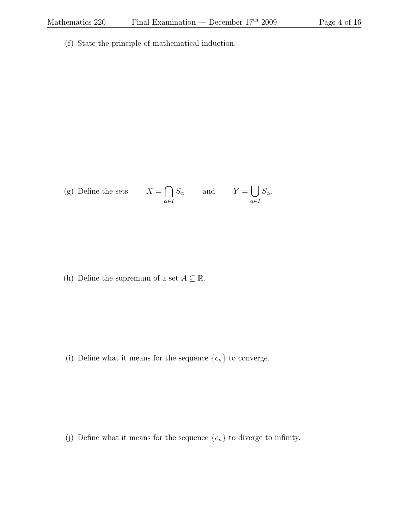(f) State the principle of mathematical induction.

(g) Define the sets 
$$
X = \bigcap_{\alpha \in I} S_{\alpha}
$$
 and  $Y = \bigcup_{\alpha \in I} S_{\alpha}$ .

(h) Define the supremum of a set  $A \subseteq \mathbb{R}$ .

(i) Define what it means for the sequence  $\{c_n\}$  to converge.

(j) Define what it means for the sequence  $\{c_n\}$  to diverge to infinity.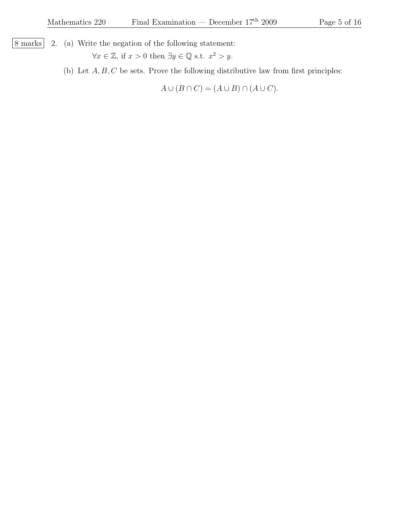8 marks 2. (a) Write the negation of the following statement:

 $\forall x \in \mathbb{Z}$ , if  $x > 0$  then  $\exists y \in \mathbb{Q}$  s.t.  $x^2 > y$ .

(b) Let  $A, B, C$  be sets. Prove the following distributive law from first principles:

 $A \cup (B \cap C) = (A \cup B) \cap (A \cup C).$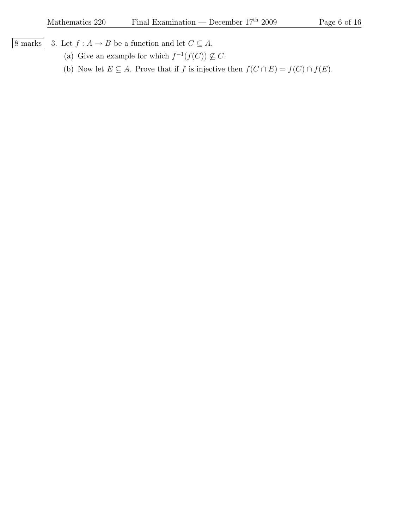- 
- 8 marks 3. Let  $f : A \to B$  be a function and let  $C \subseteq A$ .
	- (a) Give an example for which  $f^{-1}(f(C)) \nsubseteq C$ .
	- (b) Now let  $E \subseteq A$ . Prove that if f is injective then  $f(C \cap E) = f(C) \cap f(E)$ .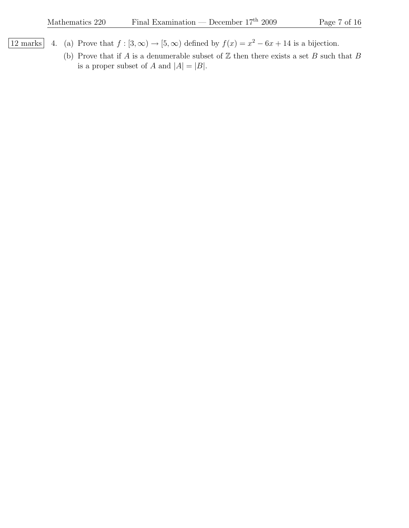- 12 marks 4. (a) Prove that  $f : [3, \infty) \to [5, \infty)$  defined by  $f(x) = x^2 6x + 14$  is a bijection.
	- (b) Prove that if A is a denumerable subset of  $\mathbb Z$  then there exists a set B such that B is a proper subset of A and  $|A| = |B|$ .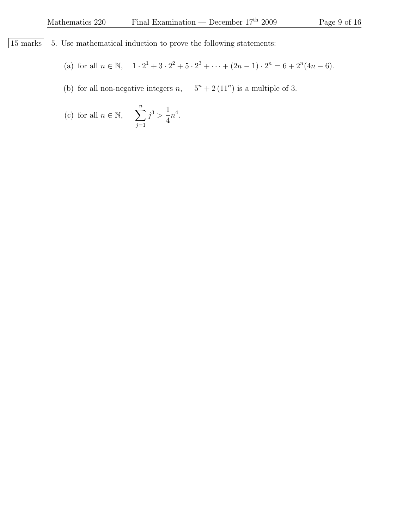$\begin{array}{|l|l|} 15 \text{ marks} & 5. \end{array}$  Use mathematical induction to prove the following statements:

(a) for all  $n \in \mathbb{N}$ ,  $1 \cdot 2^1 + 3 \cdot 2^2 + 5 \cdot 2^3 + \cdots + (2n - 1) \cdot 2^n = 6 + 2^n (4n - 6)$ .

(b) for all non-negative integers  $n$ ,  $5^n + 2(11^n)$  is a multiple of 3.

(c) for all 
$$
n \in \mathbb{N}
$$
,  $\sum_{j=1}^{n} j^3 > \frac{1}{4}n^4$ .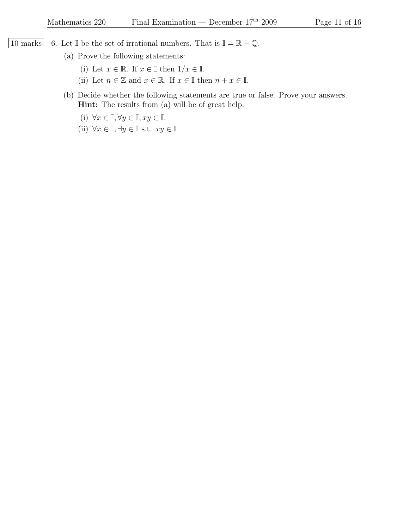- 10 marks 6. Let I be the set of irrational numbers. That is  $\mathbb{I} = \mathbb{R} \mathbb{Q}$ .
	- (a) Prove the following statements:
		- (i) Let  $x \in \mathbb{R}$ . If  $x \in \mathbb{I}$  then  $1/x \in \mathbb{I}$ .
		- (ii) Let  $n \in \mathbb{Z}$  and  $x \in \mathbb{R}$ . If  $x \in \mathbb{I}$  then  $n + x \in \mathbb{I}$ .
	- (b) Decide whether the following statements are true or false. Prove your answers. Hint: The results from (a) will be of great help.
		- (i)  $\forall x \in \mathbb{I}, \forall y \in \mathbb{I}, xy \in \mathbb{I}.$
		- (ii)  $\forall x \in \mathbb{I}, \exists y \in \mathbb{I} \text{ s.t. } xy \in \mathbb{I}.$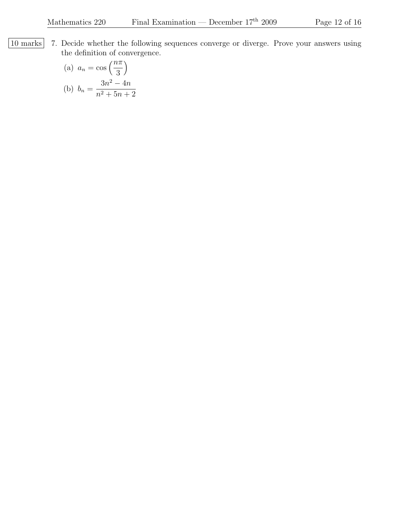10 marks 7. Decide whether the following sequences converge or diverge. Prove your answers using the definition of convergence.

(a) 
$$
a_n = \cos\left(\frac{n\pi}{3}\right)
$$
  
\n(b)  $b_n = \frac{3n^2 - 4n}{n^2 + 5n + 2}$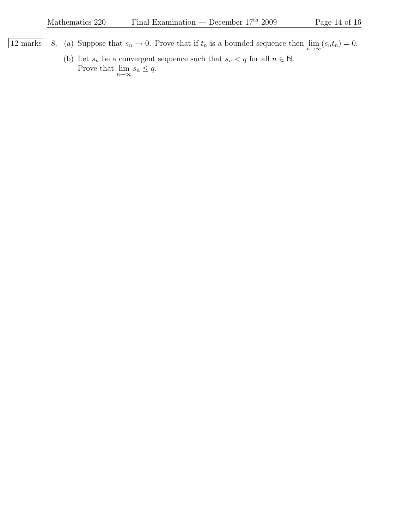- 12 marks 8. (a) Suppose that  $s_n \to 0$ . Prove that if  $t_n$  is a bounded sequence then  $\lim_{n\to\infty} (s_n t_n) = 0$ .
	- (b) Let  $s_n$  be a convergent sequence such that  $s_n < q$  for all  $n \in \mathbb{N}$ . Prove that  $\lim_{n \to \infty} s_n \leq q$ .